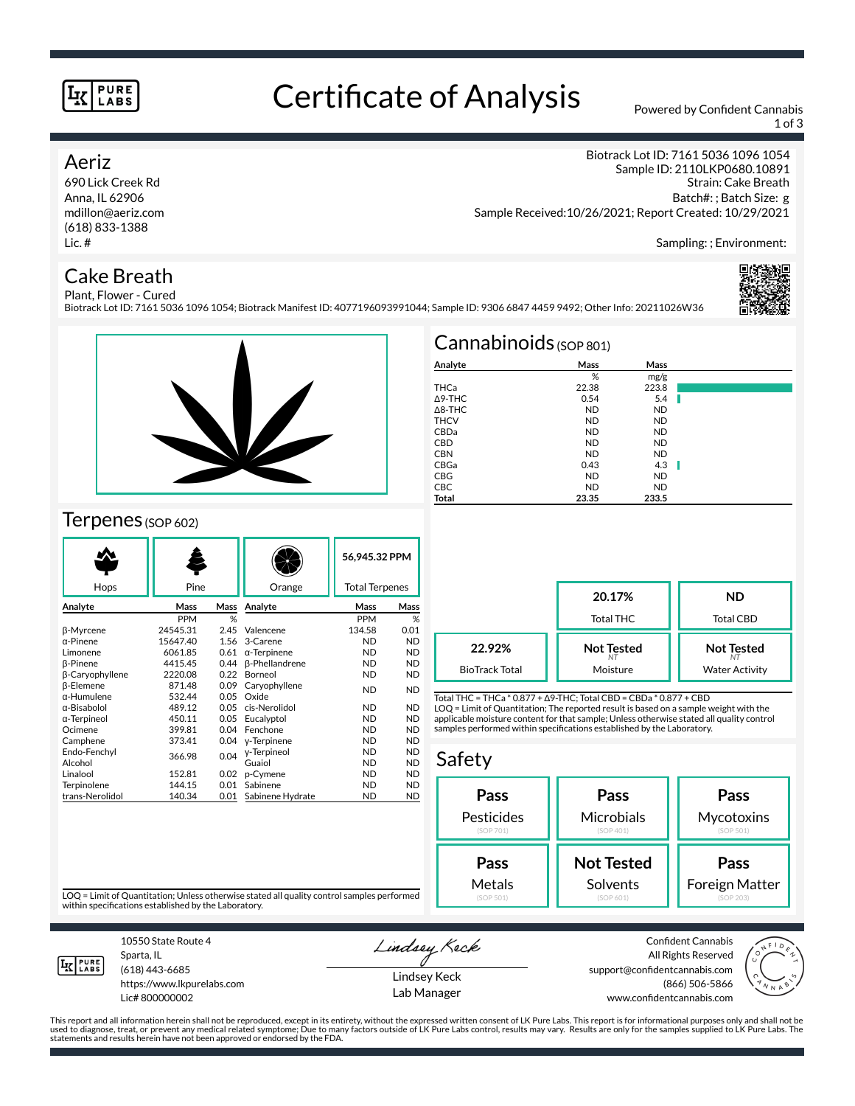#### **PURE LABS**

# Certificate of Analysis Powered by Confident Cannabis

1 of 3

### Aeriz

690 Lick Creek Rd Anna, IL 62906 mdillon@aeriz.com (618) 833-1388 Lic. #

## Cake Breath

Biotrack Lot ID: 7161 5036 1096 1054 Sample ID: 2110LKP0680.10891

Strain: Cake Breath Batch#: ; Batch Size: g Sample Received:10/26/2021; Report Created: 10/29/2021

Sampling: ; Environment:

#### Plant, Flower - Cured Biotrack Lot ID: 7161 5036 1096 1054; Biotrack Manifest ID: 4077196093991044; Sample ID: 9306 6847 4459 9492; Other Info: 20211026W36





## Terpenes (SOP 602)

|                     | Pine       |      |                       | 56,945.32 PPM         |           |
|---------------------|------------|------|-----------------------|-----------------------|-----------|
| Hops                |            |      | Orange                | <b>Total Terpenes</b> |           |
| Analyte             | Mass       | Mass | Analyte               | Mass                  | Mass      |
|                     | <b>PPM</b> | %    |                       | <b>PPM</b>            | %         |
| β-Myrcene           | 24545.31   | 2.45 | Valencene             | 134.58                | 0.01      |
| $\alpha$ -Pinene    | 15647.40   | 1.56 | 3-Carene              | <b>ND</b>             | <b>ND</b> |
| Limonene            | 6061.85    | 0.61 | $\alpha$ -Terpinene   | <b>ND</b>             | <b>ND</b> |
| <b>B-Pinene</b>     | 4415.45    | 0.44 | <b>ß-Phellandrene</b> | <b>ND</b>             | <b>ND</b> |
| β-Caryophyllene     | 2220.08    | 0.22 | <b>Borneol</b>        | <b>ND</b>             | <b>ND</b> |
| <b>B-Elemene</b>    | 871.48     | 0.09 | Caryophyllene         | <b>ND</b>             | <b>ND</b> |
| $\alpha$ -Humulene  | 532.44     | 0.05 | Oxide                 |                       |           |
| α-Bisabolol         | 489.12     | 0.05 | cis-Nerolidol         | <b>ND</b>             | <b>ND</b> |
| $\alpha$ -Terpineol | 450.11     | 0.05 | Eucalvptol            | <b>ND</b>             | <b>ND</b> |
| Ocimene             | 399.81     | 0.04 | Fenchone              | <b>ND</b>             | <b>ND</b> |
| Camphene            | 373.41     | 0.04 | y-Terpinene           | <b>ND</b>             | <b>ND</b> |
| Endo-Fenchyl        | 366.98     | 0.04 | y-Terpineol           | <b>ND</b>             | <b>ND</b> |
| Alcohol             |            |      | Guaiol                | <b>ND</b>             | <b>ND</b> |
| Linalool            | 152.81     | 0.02 | p-Cymene              | <b>ND</b>             | <b>ND</b> |
| Terpinolene         | 144.15     | 0.01 | Sabinene              | ND                    | <b>ND</b> |
| trans-Nerolidol     | 140.34     | 0.01 | Sabinene Hydrate      | ND                    | <b>ND</b> |
|                     |            |      |                       |                       |           |

| $Cannabinoids_{(SOP 801)}$ |           |           |    |  |  |  |
|----------------------------|-----------|-----------|----|--|--|--|
| Analyte                    | Mass      | Mass      |    |  |  |  |
|                            | %         | mg/g      |    |  |  |  |
| THCa                       | 22.38     | 223.8     |    |  |  |  |
| $\triangle$ 9-THC          | 0.54      | 5.4       |    |  |  |  |
| $\triangle$ 8-THC          | <b>ND</b> | <b>ND</b> |    |  |  |  |
| <b>THCV</b>                | <b>ND</b> | <b>ND</b> |    |  |  |  |
| CBDa                       | <b>ND</b> | <b>ND</b> |    |  |  |  |
| <b>CBD</b>                 | <b>ND</b> | <b>ND</b> |    |  |  |  |
| <b>CBN</b>                 | <b>ND</b> | <b>ND</b> |    |  |  |  |
| CBGa                       | 0.43      | 4.3       | ×. |  |  |  |
| <b>CBG</b>                 | <b>ND</b> | <b>ND</b> |    |  |  |  |
| <b>CBC</b>                 | <b>ND</b> | <b>ND</b> |    |  |  |  |
| Total                      | 23.35     | 233.5     |    |  |  |  |

|                       | 20.17%<br>Total THC | ND<br>Total CBD       |  |
|-----------------------|---------------------|-----------------------|--|
| 22.92%                | <b>Not Tested</b>   | <b>Not Tested</b>     |  |
| <b>BioTrack Total</b> | Moisture            | <b>Water Activity</b> |  |

Total THC = THCa \* 0.877 + ∆9-THC; Total CBD = CBDa \* 0.877 + CBD LOQ = Limit of Quantitation; The reported result is based on a sample weight with the applicable moisture content for that sample; Unless otherwise stated all quality control samples performed within specifications established by the Laboratory.

### Safety



LOQ = Limit of Quantitation; Unless otherwise stated all quality control samples performed within specifications established by the Laboratory.



Sparta, IL (618) 443-6685

10550 State Route 4

https://www.lkpurelabs.com Lic# 800000002

Lindsey Keck Lindsey Keck

Lab Manager

Confident Cannabis All Rights Reserved support@confidentcannabis.com (866) 506-5866 www.confidentcannabis.com



This report and all information herein shall not be reproduced, except in its entirety, without the expressed written consent of LK Pure Labs. This report is for informational purposes only and shall not be<br>used to diagnos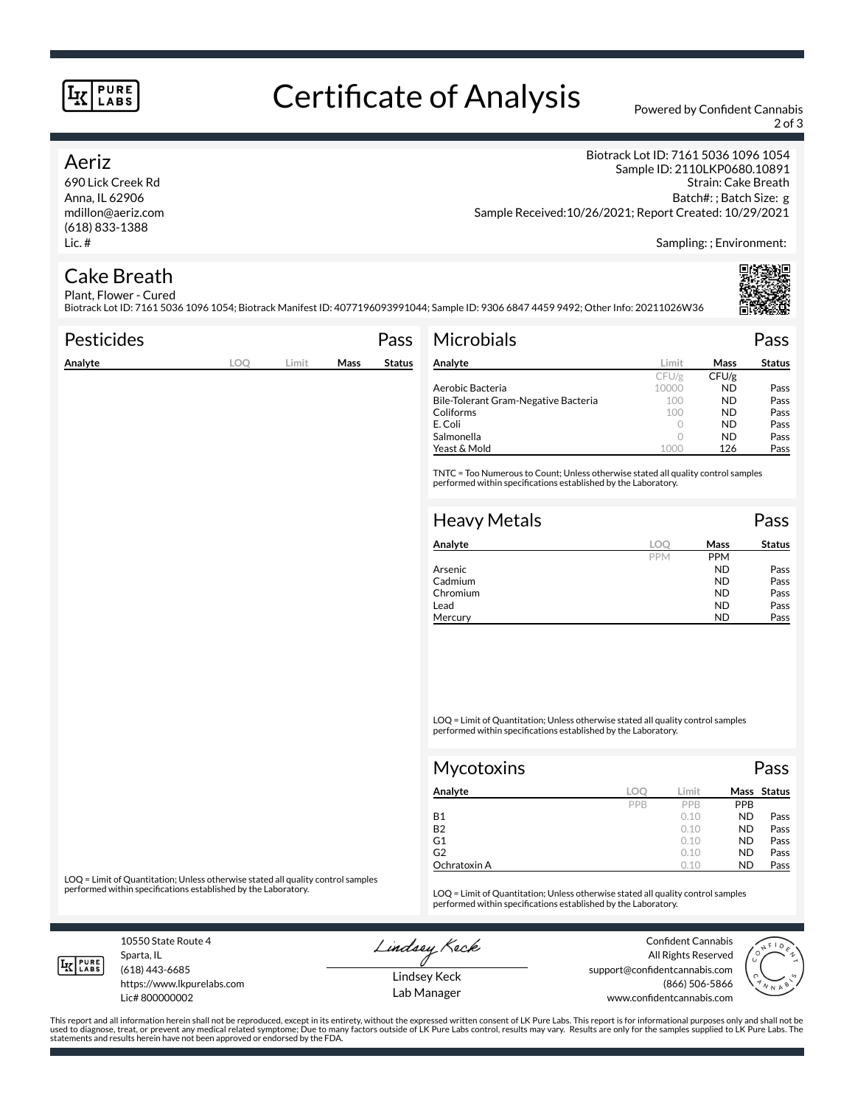#### **PURE LABS**

# Certificate of Analysis Powered by Confident Cannabis

2 of 3

### Aeriz

690 Lick Creek Rd Anna, IL 62906 mdillon@aeriz.com (618) 833-1388 Lic. #

Biotrack Lot ID: 7161 5036 1096 1054 Sample ID: 2110LKP0680.10891 Strain: Cake Breath Batch#: ; Batch Size: g Sample Received:10/26/2021; Report Created: 10/29/2021

Sampling: ; Environment:

#### Cake Breath Plant, Flower - Cured

Biotrack Lot ID: 7161 5036 1096 1054; Biotrack Manifest ID: 4077196093991044; Sample ID: 9306 6847 4459 9492; Other Info: 20211026W36

| <b>Pesticides</b> |     |       |      | Pass          | <b>Microbials</b>                                                                                                                                   |            |       | Pass          |
|-------------------|-----|-------|------|---------------|-----------------------------------------------------------------------------------------------------------------------------------------------------|------------|-------|---------------|
| Analyte           | LOQ | Limit | Mass | <b>Status</b> | Analyte                                                                                                                                             | Limit      | Mass  | <b>Status</b> |
|                   |     |       |      |               |                                                                                                                                                     | CFU/g      | CFU/g |               |
|                   |     |       |      |               | Aerobic Bacteria                                                                                                                                    | 10000      | ND.   | Pass          |
|                   |     |       |      |               | Bile-Tolerant Gram-Negative Bacteria                                                                                                                | 100        | ND.   | Pass          |
|                   |     |       |      |               | Coliforms                                                                                                                                           | 100        | ND.   | Pass          |
|                   |     |       |      |               | E. Coli                                                                                                                                             | 0          | ND.   | Pass          |
|                   |     |       |      |               | Salmonella                                                                                                                                          | $\circ$    | ND.   | Pass          |
|                   |     |       |      |               | Yeast & Mold                                                                                                                                        | 1000       | 126   | Pass          |
|                   |     |       |      |               | TNTC = Too Numerous to Count; Unless otherwise stated all quality control samples<br>performed within specifications established by the Laboratory. |            |       |               |
|                   |     |       |      |               | <b>Heavy Metals</b>                                                                                                                                 |            |       | Pass          |
|                   |     |       |      |               | Analyte                                                                                                                                             | <b>LOO</b> | Mass  | <b>Status</b> |

| Analyte  | loc        | Mass       | <b>Status</b> |
|----------|------------|------------|---------------|
|          | <b>PPM</b> | <b>PPM</b> |               |
| Arsenic  |            | <b>ND</b>  | Pass          |
| Cadmium  |            | ND         | Pass          |
| Chromium |            | <b>ND</b>  | Pass          |
| Lead     |            | <b>ND</b>  | Pass          |
| Mercury  |            | <b>ND</b>  | Pass          |

LOQ = Limit of Quantitation; Unless otherwise stated all quality control samples performed within specifications established by the Laboratory.

| <b>Mycotoxins</b> |     |       |           | Pass        |
|-------------------|-----|-------|-----------|-------------|
| Analyte           | LOO | Limit |           | Mass Status |
|                   | PPB | PPB   | PPB       |             |
| <b>B1</b>         |     | 0.10  | <b>ND</b> | Pass        |
| <b>B2</b>         |     | 0.10  | <b>ND</b> | Pass        |
| G1                |     | 0.10  | <b>ND</b> | Pass        |
| G <sub>2</sub>    |     | 0.10  | <b>ND</b> | Pass        |
| Ochratoxin A      |     | 0.10  | <b>ND</b> | Pass        |

LOQ = Limit of Quantitation; Unless otherwise stated all quality control samples<br>performed within specifications established by the Laboratory.

LOQ = Limit of Quantitation; Unless otherwise stated all quality control samples performed within specifications established by the Laboratory.

10550 State Route 4 Sparta, IL (618) 443-6685

**IK PURE** 

Lic# 800000002

https://www.lkpurelabs.com

Lindsey Keck

Confident Cannabis All Rights Reserved support@confidentcannabis.com (866) 506-5866 www.confidentcannabis.com



Lindsey Keck Lab Manager

This report and all information herein shall not be reproduced, except in its entirety, without the expressed written consent of LK Pure Labs. This report is for informational purposes only and shall not be<br>used to diagnos